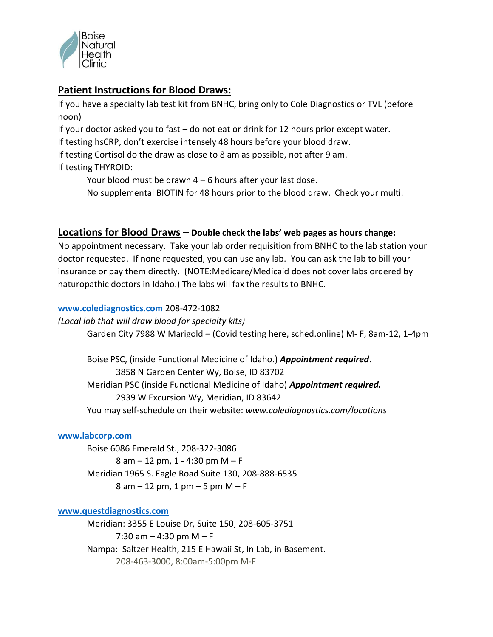

# **Patient Instructions for Blood Draws:**

If you have a specialty lab test kit from BNHC, bring only to Cole Diagnostics or TVL (before noon)

If your doctor asked you to fast – do not eat or drink for 12 hours prior except water.

If testing hsCRP, don't exercise intensely 48 hours before your blood draw.

If testing Cortisol do the draw as close to 8 am as possible, not after 9 am.

If testing THYROID:

Your blood must be drawn  $4 - 6$  hours after your last dose.

No supplemental BIOTIN for 48 hours prior to the blood draw. Check your multi.

## **Locations for Blood Draws – Double check the labs' web pages as hours change:**

No appointment necessary. Take your lab order requisition from BNHC to the lab station your doctor requested. If none requested, you can use any lab. You can ask the lab to bill your insurance or pay them directly. (NOTE:Medicare/Medicaid does not cover labs ordered by naturopathic doctors in Idaho.) The labs will fax the results to BNHC.

### **[www.colediagnostics.com](http://www.colediagnostics.com/)** 208-472-1082

*(Local lab that will draw blood for specialty kits)* Garden City 7988 W Marigold – (Covid testing here, sched.online) M- F, 8am-12, 1-4pm

Boise PSC, (inside Functional Medicine of Idaho.) *Appointment required*. 3858 N Garden Center Wy, Boise, ID 83702 Meridian PSC (inside Functional Medicine of Idaho) *Appointment required.* 2939 W Excursion Wy, Meridian, ID 83642 You may self-schedule on their website: *www.colediagnostics.com/locations*

### **[www.labcorp.com](http://www.labcorp.com/)**

Boise 6086 Emerald St., 208-322-3086 8 am – 12 pm, 1 - 4:30 pm M – F Meridian 1965 S. Eagle Road Suite 130, 208-888-6535  $8$  am  $-12$  pm, 1 pm  $-5$  pm M  $- F$ 

### **[www.questdiagnostics.com](http://www.questdiagnostics.com/)**

Meridian: 3355 E Louise Dr, Suite 150, 208-605-3751 7:30 am  $-$  4:30 pm M  $-$  F Nampa: Saltzer Health, 215 E Hawaii St, In Lab, in Basement. 208-463-3000, 8:00am-5:00pm M-F